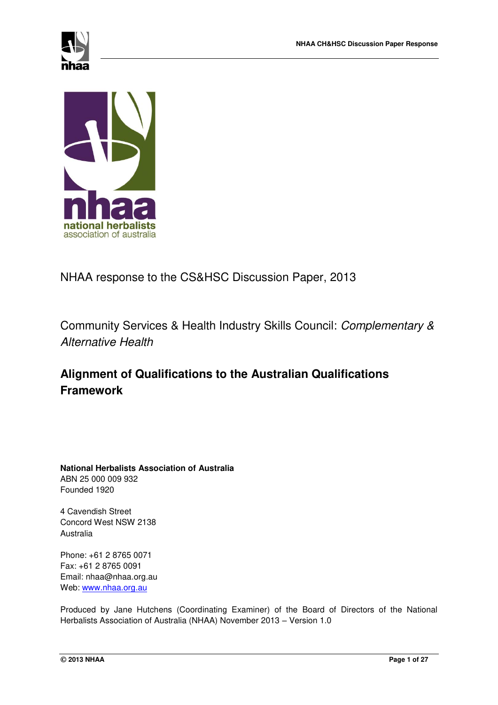



# NHAA response to the CS&HSC Discussion Paper, 2013

Community Services & Health Industry Skills Council: *Complementary & Alternative Health* 

# **Alignment of Qualifications to the Australian Qualifications Framework**

**National Herbalists Association of Australia**  ABN 25 000 009 932 Founded 1920

4 Cavendish Street Concord West NSW 2138 Australia

Phone: +61 2 8765 0071 Fax: +61 2 8765 0091 Email: nhaa@nhaa.org.au Web: [www.nhaa.org.au](http://www.nhaa.org.au/)

Produced by Jane Hutchens (Coordinating Examiner) of the Board of Directors of the National Herbalists Association of Australia (NHAA) November 2013 – Version 1.0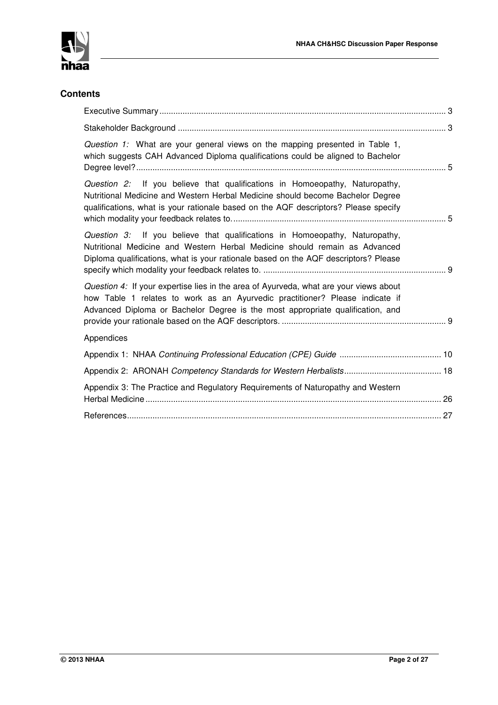

### **Contents**

| Question 1: What are your general views on the mapping presented in Table 1,<br>which suggests CAH Advanced Diploma qualifications could be aligned to Bachelor                                                                                         |  |
|---------------------------------------------------------------------------------------------------------------------------------------------------------------------------------------------------------------------------------------------------------|--|
| Question 2: If you believe that qualifications in Homoeopathy, Naturopathy,<br>Nutritional Medicine and Western Herbal Medicine should become Bachelor Degree<br>qualifications, what is your rationale based on the AQF descriptors? Please specify    |  |
| Question 3: If you believe that qualifications in Homoeopathy, Naturopathy,<br>Nutritional Medicine and Western Herbal Medicine should remain as Advanced<br>Diploma qualifications, what is your rationale based on the AQF descriptors? Please        |  |
| Question 4: If your expertise lies in the area of Ayurveda, what are your views about<br>how Table 1 relates to work as an Ayurvedic practitioner? Please indicate if<br>Advanced Diploma or Bachelor Degree is the most appropriate qualification, and |  |
| Appendices                                                                                                                                                                                                                                              |  |
|                                                                                                                                                                                                                                                         |  |
|                                                                                                                                                                                                                                                         |  |
| Appendix 3: The Practice and Regulatory Requirements of Naturopathy and Western                                                                                                                                                                         |  |
|                                                                                                                                                                                                                                                         |  |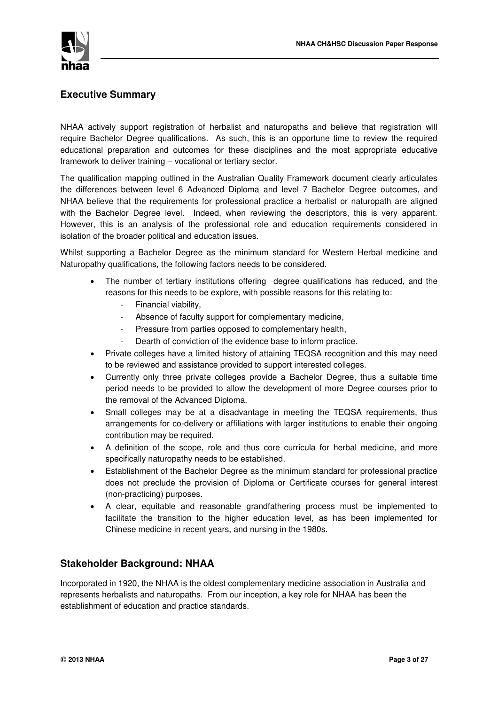

### **Executive Summary**

NHAA actively support registration of herbalist and naturopaths and believe that registration will require Bachelor Degree qualifications. As such, this is an opportune time to review the required educational preparation and outcomes for these disciplines and the most appropriate educative framework to deliver training – vocational or tertiary sector.

The qualification mapping outlined in the Australian Quality Framework document clearly articulates the differences between level 6 Advanced Diploma and level 7 Bachelor Degree outcomes, and NHAA believe that the requirements for professional practice a herbalist or naturopath are aligned with the Bachelor Degree level. Indeed, when reviewing the descriptors, this is very apparent. However, this is an analysis of the professional role and education requirements considered in isolation of the broader political and education issues.

Whilst supporting a Bachelor Degree as the minimum standard for Western Herbal medicine and Naturopathy qualifications, the following factors needs to be considered.

- The number of tertiary institutions offering degree qualifications has reduced, and the reasons for this needs to be explore, with possible reasons for this relating to:
	- Financial viability,
	- Absence of faculty support for complementary medicine,
	- Pressure from parties opposed to complementary health,
	- Dearth of conviction of the evidence base to inform practice.
- Private colleges have a limited history of attaining TEQSA recognition and this may need to be reviewed and assistance provided to support interested colleges.
- Currently only three private colleges provide a Bachelor Degree, thus a suitable time period needs to be provided to allow the development of more Degree courses prior to the removal of the Advanced Diploma.
- Small colleges may be at a disadvantage in meeting the TEQSA requirements, thus arrangements for co-delivery or affiliations with larger institutions to enable their ongoing contribution may be required.
- A definition of the scope, role and thus core curricula for herbal medicine, and more specifically naturopathy needs to be established.
- Establishment of the Bachelor Degree as the minimum standard for professional practice does not preclude the provision of Diploma or Certificate courses for general interest (non-practicing) purposes.
- A clear, equitable and reasonable grandfathering process must be implemented to facilitate the transition to the higher education level, as has been implemented for Chinese medicine in recent years, and nursing in the 1980s.

### **Stakeholder Background: NHAA**

Incorporated in 1920, the NHAA is the oldest complementary medicine association in Australia and represents herbalists and naturopaths. From our inception, a key role for NHAA has been the establishment of education and practice standards.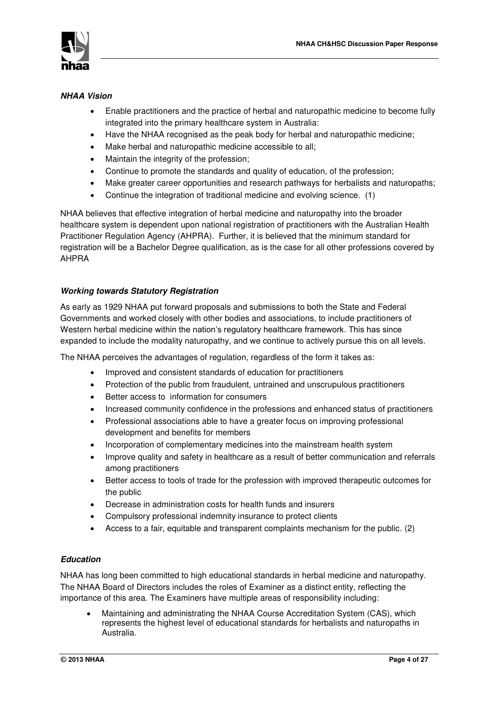

### *NHAA Vision*

- Enable practitioners and the practice of herbal and naturopathic medicine to become fully integrated into the primary healthcare system in Australia:
- Have the NHAA recognised as the peak body for herbal and naturopathic medicine;
- Make herbal and naturopathic medicine accessible to all;
- Maintain the integrity of the profession;
- Continue to promote the standards and quality of education, of the profession;
- Make greater career opportunities and research pathways for herbalists and naturopaths;
- Continue the integration of traditional medicine and evolving science. (1)

NHAA believes that effective integration of herbal medicine and naturopathy into the broader healthcare system is dependent upon national registration of practitioners with the Australian Health Practitioner Regulation Agency (AHPRA). Further, it is believed that the minimum standard for registration will be a Bachelor Degree qualification, as is the case for all other professions covered by AHPRA

### *Working towards Statutory Registration*

As early as 1929 NHAA put forward proposals and submissions to both the State and Federal Governments and worked closely with other bodies and associations, to include practitioners of Western herbal medicine within the nation's regulatory healthcare framework. This has since expanded to include the modality naturopathy, and we continue to actively pursue this on all levels.

The NHAA perceives the advantages of regulation, regardless of the form it takes as:

- Improved and consistent standards of education for practitioners
- Protection of the public from fraudulent, untrained and unscrupulous practitioners
- Better access to information for consumers
- Increased community confidence in the professions and enhanced status of practitioners
- Professional associations able to have a greater focus on improving professional development and benefits for members
- Incorporation of complementary medicines into the mainstream health system
- Improve quality and safety in healthcare as a result of better communication and referrals among practitioners
- Better access to tools of trade for the profession with improved therapeutic outcomes for the public
- Decrease in administration costs for health funds and insurers
- Compulsory professional indemnity insurance to protect clients
- Access to a fair, equitable and transparent complaints mechanism for the public. (2)

### *Education*

NHAA has long been committed to high educational standards in herbal medicine and naturopathy. The NHAA Board of Directors includes the roles of Examiner as a distinct entity, reflecting the importance of this area. The Examiners have multiple areas of responsibility including:

 Maintaining and administrating the NHAA Course Accreditation System (CAS), which represents the highest level of educational standards for herbalists and naturopaths in Australia.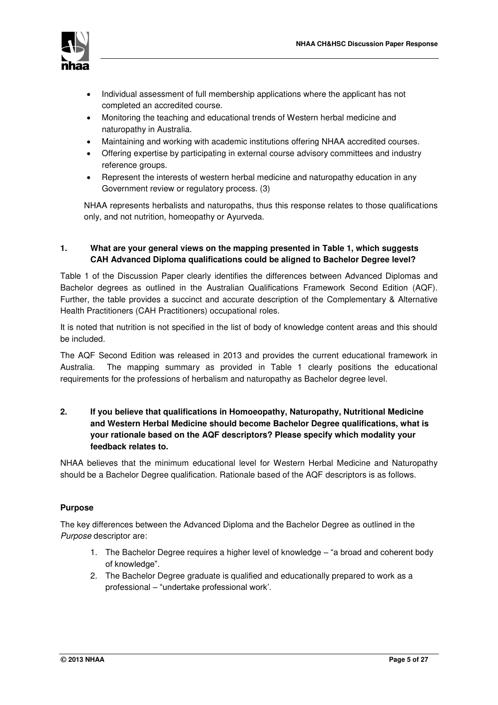

- Individual assessment of full membership applications where the applicant has not completed an accredited course.
- Monitoring the teaching and educational trends of Western herbal medicine and naturopathy in Australia.
- Maintaining and working with academic institutions offering NHAA accredited courses.
- Offering expertise by participating in external course advisory committees and industry reference groups.
- Represent the interests of western herbal medicine and naturopathy education in any Government review or regulatory process. (3)

NHAA represents herbalists and naturopaths, thus this response relates to those qualifications only, and not nutrition, homeopathy or Ayurveda.

### **1. What are your general views on the mapping presented in Table 1, which suggests CAH Advanced Diploma qualifications could be aligned to Bachelor Degree level?**

Table 1 of the Discussion Paper clearly identifies the differences between Advanced Diplomas and Bachelor degrees as outlined in the Australian Qualifications Framework Second Edition (AQF). Further, the table provides a succinct and accurate description of the Complementary & Alternative Health Practitioners (CAH Practitioners) occupational roles.

It is noted that nutrition is not specified in the list of body of knowledge content areas and this should be included.

The AQF Second Edition was released in 2013 and provides the current educational framework in Australia. The mapping summary as provided in Table 1 clearly positions the educational requirements for the professions of herbalism and naturopathy as Bachelor degree level.

### **2. If you believe that qualifications in Homoeopathy, Naturopathy, Nutritional Medicine and Western Herbal Medicine should become Bachelor Degree qualifications, what is your rationale based on the AQF descriptors? Please specify which modality your feedback relates to.**

NHAA believes that the minimum educational level for Western Herbal Medicine and Naturopathy should be a Bachelor Degree qualification. Rationale based of the AQF descriptors is as follows.

### **Purpose**

The key differences between the Advanced Diploma and the Bachelor Degree as outlined in the *Purpose* descriptor are:

- 1. The Bachelor Degree requires a higher level of knowledge "a broad and coherent body of knowledge".
- 2. The Bachelor Degree graduate is qualified and educationally prepared to work as a professional – "undertake professional work'.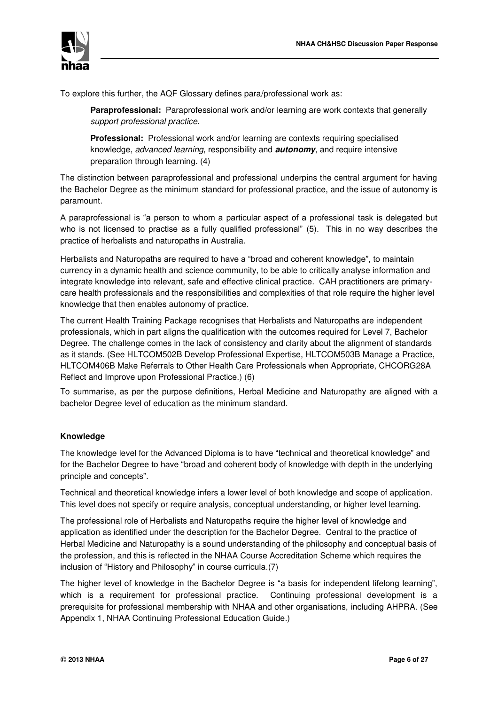

To explore this further, the AQF Glossary defines para/professional work as:

**Paraprofessional:** Paraprofessional work and/or learning are work contexts that generally *support professional practice.* 

**Professional:** Professional work and/or learning are contexts requiring specialised knowledge, *advanced learning*, responsibility and *autonomy*, and require intensive preparation through learning. (4)

The distinction between paraprofessional and professional underpins the central argument for having the Bachelor Degree as the minimum standard for professional practice, and the issue of autonomy is paramount.

A paraprofessional is "a person to whom a particular aspect of a professional task is delegated but who is not licensed to practise as a fully qualified professional" (5). This in no way describes the practice of herbalists and naturopaths in Australia.

Herbalists and Naturopaths are required to have a "broad and coherent knowledge", to maintain currency in a dynamic health and science community, to be able to critically analyse information and integrate knowledge into relevant, safe and effective clinical practice. CAH practitioners are primarycare health professionals and the responsibilities and complexities of that role require the higher level knowledge that then enables autonomy of practice.

The current Health Training Package recognises that Herbalists and Naturopaths are independent professionals, which in part aligns the qualification with the outcomes required for Level 7, Bachelor Degree. The challenge comes in the lack of consistency and clarity about the alignment of standards as it stands. (See HLTCOM502B Develop Professional Expertise, HLTCOM503B Manage a Practice, HLTCOM406B Make Referrals to Other Health Care Professionals when Appropriate, CHCORG28A Reflect and Improve upon Professional Practice.) (6)

To summarise, as per the purpose definitions, Herbal Medicine and Naturopathy are aligned with a bachelor Degree level of education as the minimum standard.

### **Knowledge**

The knowledge level for the Advanced Diploma is to have "technical and theoretical knowledge" and for the Bachelor Degree to have "broad and coherent body of knowledge with depth in the underlying principle and concepts".

Technical and theoretical knowledge infers a lower level of both knowledge and scope of application. This level does not specify or require analysis, conceptual understanding, or higher level learning.

The professional role of Herbalists and Naturopaths require the higher level of knowledge and application as identified under the description for the Bachelor Degree. Central to the practice of Herbal Medicine and Naturopathy is a sound understanding of the philosophy and conceptual basis of the profession, and this is reflected in the NHAA Course Accreditation Scheme which requires the inclusion of "History and Philosophy" in course curricula.(7)

The higher level of knowledge in the Bachelor Degree is "a basis for independent lifelong learning", which is a requirement for professional practice. Continuing professional development is a prerequisite for professional membership with NHAA and other organisations, including AHPRA. (See Appendix 1, NHAA Continuing Professional Education Guide.)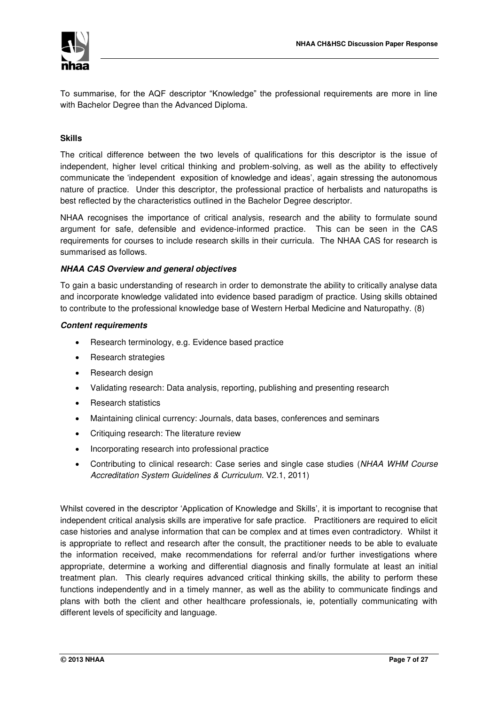

To summarise, for the AQF descriptor "Knowledge" the professional requirements are more in line with Bachelor Degree than the Advanced Diploma.

### **Skills**

The critical difference between the two levels of qualifications for this descriptor is the issue of independent, higher level critical thinking and problem-solving, as well as the ability to effectively communicate the 'independent exposition of knowledge and ideas', again stressing the autonomous nature of practice. Under this descriptor, the professional practice of herbalists and naturopaths is best reflected by the characteristics outlined in the Bachelor Degree descriptor.

NHAA recognises the importance of critical analysis, research and the ability to formulate sound argument for safe, defensible and evidence-informed practice. This can be seen in the CAS requirements for courses to include research skills in their curricula. The NHAA CAS for research is summarised as follows.

### *NHAA CAS Overview and general objectives*

To gain a basic understanding of research in order to demonstrate the ability to critically analyse data and incorporate knowledge validated into evidence based paradigm of practice. Using skills obtained to contribute to the professional knowledge base of Western Herbal Medicine and Naturopathy. (8)

### *Content requirements*

- Research terminology, e.g. Evidence based practice
- Research strategies
- Research design
- Validating research: Data analysis, reporting, publishing and presenting research
- Research statistics
- Maintaining clinical currency: Journals, data bases, conferences and seminars
- Critiquing research: The literature review
- Incorporating research into professional practice
- Contributing to clinical research: Case series and single case studies (*NHAA WHM Course Accreditation System Guidelines & Curriculum*. V2.1, 2011)

Whilst covered in the descriptor 'Application of Knowledge and Skills', it is important to recognise that independent critical analysis skills are imperative for safe practice. Practitioners are required to elicit case histories and analyse information that can be complex and at times even contradictory. Whilst it is appropriate to reflect and research after the consult, the practitioner needs to be able to evaluate the information received, make recommendations for referral and/or further investigations where appropriate, determine a working and differential diagnosis and finally formulate at least an initial treatment plan. This clearly requires advanced critical thinking skills, the ability to perform these functions independently and in a timely manner, as well as the ability to communicate findings and plans with both the client and other healthcare professionals, ie, potentially communicating with different levels of specificity and language.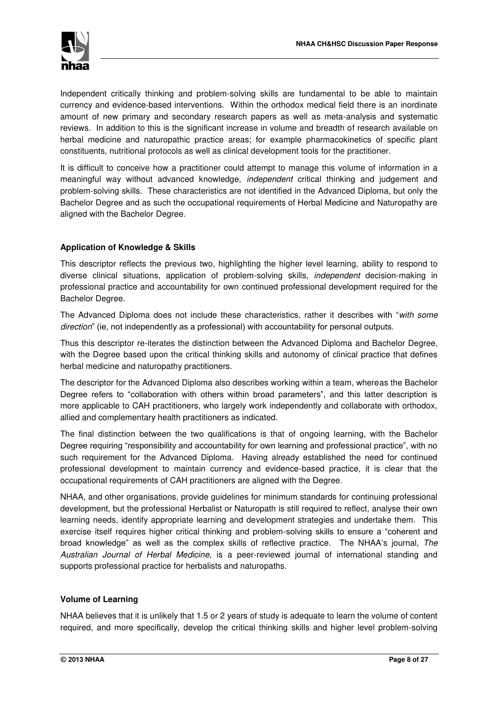

Independent critically thinking and problem-solving skills are fundamental to be able to maintain currency and evidence-based interventions. Within the orthodox medical field there is an inordinate amount of new primary and secondary research papers as well as meta-analysis and systematic reviews. In addition to this is the significant increase in volume and breadth of research available on herbal medicine and naturopathic practice areas; for example pharmacokinetics of specific plant constituents, nutritional protocols as well as clinical development tools for the practitioner.

It is difficult to conceive how a practitioner could attempt to manage this volume of information in a meaningful way without advanced knowledge, *independent* critical thinking and judgement and problem-solving skills. These characteristics are not identified in the Advanced Diploma, but only the Bachelor Degree and as such the occupational requirements of Herbal Medicine and Naturopathy are aligned with the Bachelor Degree.

### **Application of Knowledge & Skills**

This descriptor reflects the previous two, highlighting the higher level learning, ability to respond to diverse clinical situations, application of problem-solving skills, *independent* decision-making in professional practice and accountability for own continued professional development required for the Bachelor Degree.

The Advanced Diploma does not include these characteristics, rather it describes with "*with some direction*" (ie, not independently as a professional) with accountability for personal outputs.

Thus this descriptor re-iterates the distinction between the Advanced Diploma and Bachelor Degree, with the Degree based upon the critical thinking skills and autonomy of clinical practice that defines herbal medicine and naturopathy practitioners.

The descriptor for the Advanced Diploma also describes working within a team, whereas the Bachelor Degree refers to "collaboration with others within broad parameters", and this latter description is more applicable to CAH practitioners, who largely work independently and collaborate with orthodox, allied and complementary health practitioners as indicated.

The final distinction between the two qualifications is that of ongoing learning, with the Bachelor Degree requiring "responsibility and accountability for own learning and professional practice", with no such requirement for the Advanced Diploma. Having already established the need for continued professional development to maintain currency and evidence-based practice, it is clear that the occupational requirements of CAH practitioners are aligned with the Degree.

NHAA, and other organisations, provide guidelines for minimum standards for continuing professional development, but the professional Herbalist or Naturopath is still required to reflect, analyse their own learning needs, identify appropriate learning and development strategies and undertake them. This exercise itself requires higher critical thinking and problem-solving skills to ensure a "coherent and broad knowledge" as well as the complex skills of reflective practice. The NHAA's journal, *The Australian Journal of Herbal Medicine*, is a peer-reviewed journal of international standing and supports professional practice for herbalists and naturopaths.

### **Volume of Learning**

NHAA believes that it is unlikely that 1.5 or 2 years of study is adequate to learn the volume of content required, and more specifically, develop the critical thinking skills and higher level problem-solving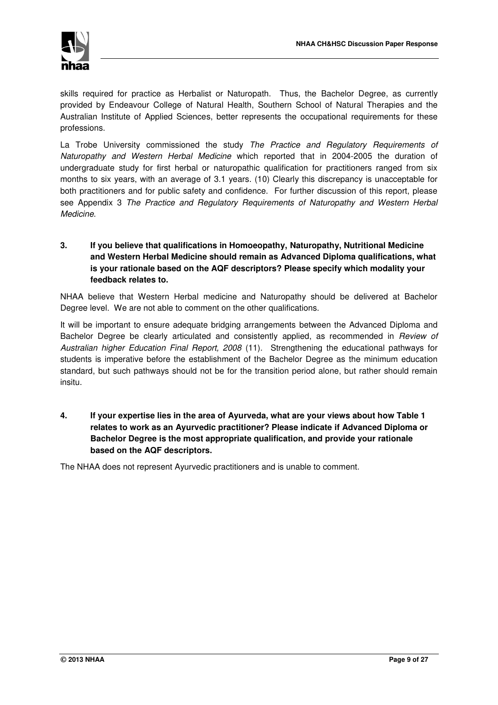skills required for practice as Herbalist or Naturopath. Thus, the Bachelor Degree, as currently provided by Endeavour College of Natural Health, Southern School of Natural Therapies and the Australian Institute of Applied Sciences, better represents the occupational requirements for these professions.

La Trobe University commissioned the study *The Practice and Regulatory Requirements of Naturopathy and Western Herbal Medicine* which reported that in 2004-2005 the duration of undergraduate study for first herbal or naturopathic qualification for practitioners ranged from six months to six years, with an average of 3.1 years. (10) Clearly this discrepancy is unacceptable for both practitioners and for public safety and confidence. For further discussion of this report, please see Appendix 3 *The Practice and Regulatory Requirements of Naturopathy and Western Herbal Medicine*.

### **3. If you believe that qualifications in Homoeopathy, Naturopathy, Nutritional Medicine and Western Herbal Medicine should remain as Advanced Diploma qualifications, what is your rationale based on the AQF descriptors? Please specify which modality your feedback relates to.**

NHAA believe that Western Herbal medicine and Naturopathy should be delivered at Bachelor Degree level. We are not able to comment on the other qualifications.

It will be important to ensure adequate bridging arrangements between the Advanced Diploma and Bachelor Degree be clearly articulated and consistently applied, as recommended in *Review of Australian higher Education Final Report, 2008* (11). Strengthening the educational pathways for students is imperative before the establishment of the Bachelor Degree as the minimum education standard, but such pathways should not be for the transition period alone, but rather should remain insitu.

**4. If your expertise lies in the area of Ayurveda, what are your views about how Table 1 relates to work as an Ayurvedic practitioner? Please indicate if Advanced Diploma or Bachelor Degree is the most appropriate qualification, and provide your rationale based on the AQF descriptors.** 

The NHAA does not represent Ayurvedic practitioners and is unable to comment.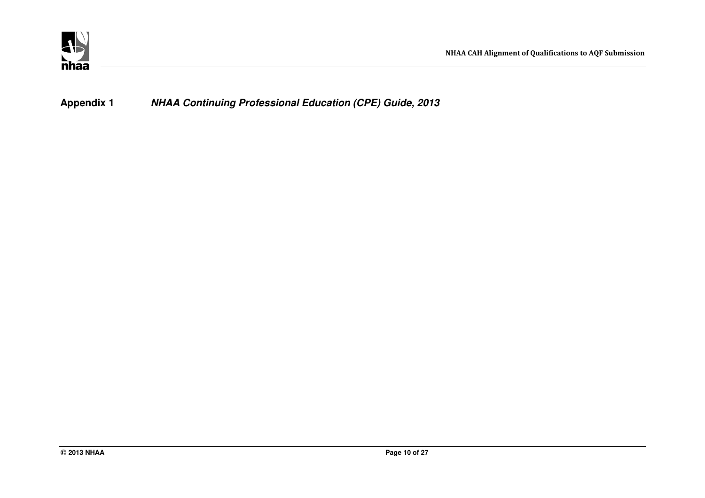

**Appendix 1** *NHAA Continuing Professional Education (CPE) Guide, 2013*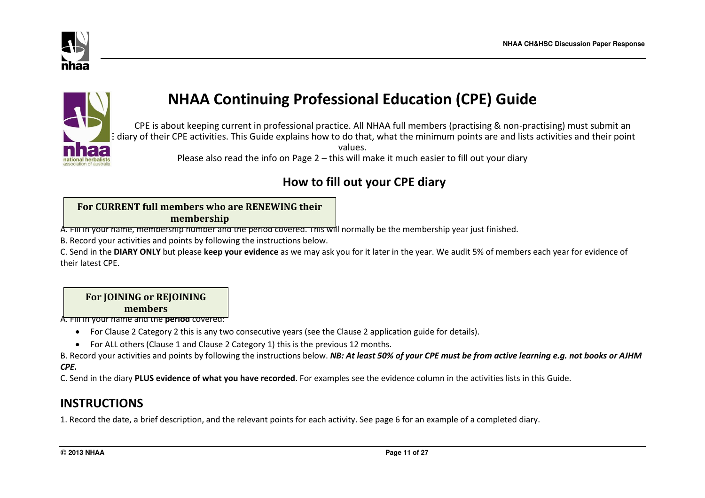



# **NHAA Continuing Professional Education (CPE) Guide**

 CPE is about keeping current in professional practice. All NHAA full members (practising & non-practising) must submit an E diary of their CPE activities. This Guide explains how to do that, what the minimum points are and lists activities and their point values. Please also read the info on Page 2 – this will make it much easier to fill out your diary

# **How to fill out your CPE diary**

## **For CURRENT full members who are RENEWING their membership**

A. Fill in your name, membership number and the period covered. This will normally be the membership year just finished.

B. Record your activities and points by following the instructions below.

C. Send in the **DIARY ONLY** but please **keep your evidence** as we may ask you for it later in the year. We audit 5% of members each year for evidence of their latest CPE.

### **For JOINING or REJOINING members**

A. Fill in your name and the **period** covered:

- For Clause 2 Category 2 this is any two consecutive years (see the Clause 2 application guide for details).
- For ALL others (Clause 1 and Clause 2 Category 1) this is the previous 12 months.

B. Record your activities and points by following the instructions below. *NB: At least 50% of your CPE must be from active learning e.g. not books or AJHM CPE.*

C. Send in the diary **PLUS evidence of what you have recorded**. For examples see the evidence column in the activities lists in this Guide.

# **INSTRUCTIONS**

1. Record the date, a brief description, and the relevant points for each activity. See page 6 for an example of a completed diary.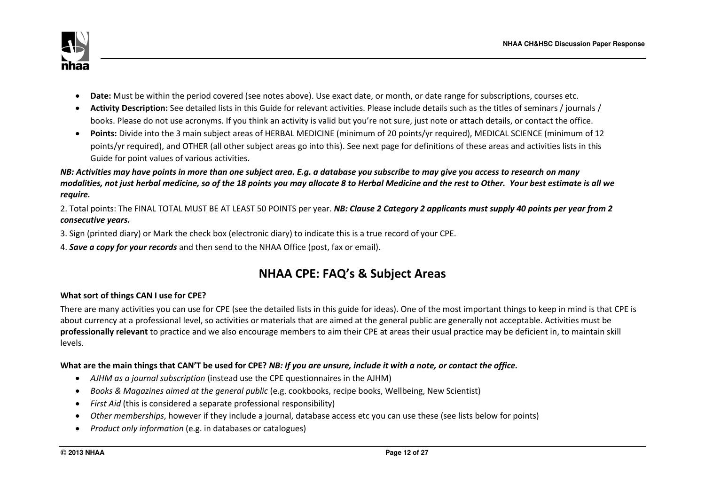

- **Date:** Must be within the period covered (see notes above). Use exact date, or month, or date range for subscriptions, courses etc.
- **Activity Description:** See detailed lists in this Guide for relevant activities. Please include details such as the titles of seminars / journals / books. Please do not use acronyms. If you think an activity is valid but you're not sure, just note or attach details, or contact the office.
- **Points:** Divide into the 3 main subject areas of HERBAL MEDICINE (minimum of 20 points/yr required), MEDICAL SCIENCE (minimum of 12 points/yr required), and OTHER (all other subject areas go into this). See next page for definitions of these areas and activities lists in this Guide for point values of various activities.

*NB: Activities may have points in more than one subject area. E.g. a database you subscribe to may give you access to research on many modalities, not just herbal medicine, so of the 18 points you may allocate 8 to Herbal Medicine and the rest to Other. Your best estimate is all we require.* 

2. Total points: The FINAL TOTAL MUST BE AT LEAST 50 POINTS per year. *NB: Clause 2 Category 2 applicants must supply 40 points per year from 2 consecutive years.* 

3. Sign (printed diary) or Mark the check box (electronic diary) to indicate this is a true record of your CPE.

4. *Save a copy for your records* and then send to the NHAA Office (post, fax or email).

# **NHAA CPE: FAQ's & Subject Areas**

### **What sort of things CAN I use for CPE?**

There are many activities you can use for CPE (see the detailed lists in this guide for ideas). One of the most important things to keep in mind is that CPE is about currency at a professional level, so activities or materials that are aimed at the general public are generally not acceptable. Activities must be **professionally relevant** to practice and we also encourage members to aim their CPE at areas their usual practice may be deficient in, to maintain skill levels.

### **What are the main things that CAN'T be used for CPE?** *NB: If you are unsure, include it with a note, or contact the office.*

- *AJHM as a journal subscription* (instead use the CPE questionnaires in the AJHM)
- *Books & Magazines aimed at the general public* (e.g. cookbooks, recipe books, Wellbeing, New Scientist)
- *First Aid* (this is considered a separate professional responsibility)
- *Other memberships*, however if they include a journal, database access etc you can use these (see lists below for points)
- *Product only information* (e.g. in databases or catalogues)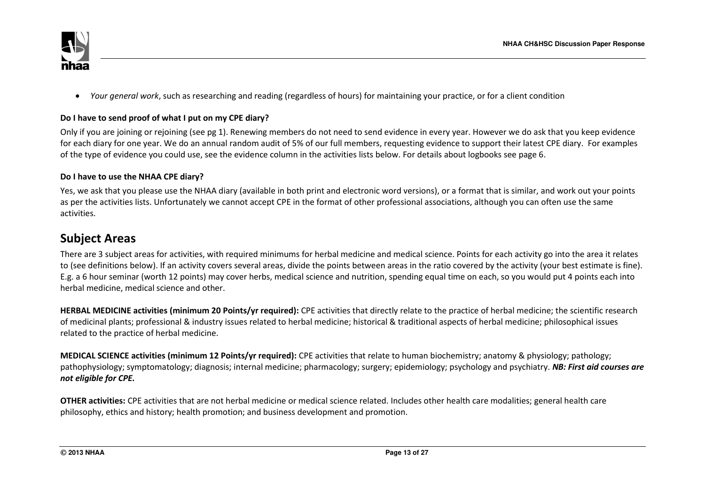

*Your general work*, such as researching and reading (regardless of hours) for maintaining your practice, or for a client condition

### **Do I have to send proof of what I put on my CPE diary?**

Only if you are joining or rejoining (see pg 1). Renewing members do not need to send evidence in every year. However we do ask that you keep evidence for each diary for one year. We do an annual random audit of 5% of our full members, requesting evidence to support their latest CPE diary. For examples of the type of evidence you could use, see the evidence column in the activities lists below. For details about logbooks see page 6.

### **Do I have to use the NHAA CPE diary?**

Yes, we ask that you please use the NHAA diary (available in both print and electronic word versions), or a format that is similar, and work out your points as per the activities lists. Unfortunately we cannot accept CPE in the format of other professional associations, although you can often use the same activities.

# **Subject Areas**

There are 3 subject areas for activities, with required minimums for herbal medicine and medical science. Points for each activity go into the area it relates to (see definitions below). If an activity covers several areas, divide the points between areas in the ratio covered by the activity (your best estimate is fine). E.g. a 6 hour seminar (worth 12 points) may cover herbs, medical science and nutrition, spending equal time on each, so you would put 4 points each into herbal medicine, medical science and other.

**HERBAL MEDICINE activities (minimum 20 Points/yr required):** CPE activities that directly relate to the practice of herbal medicine; the scientific research of medicinal plants; professional & industry issues related to herbal medicine; historical & traditional aspects of herbal medicine; philosophical issues related to the practice of herbal medicine.

**MEDICAL SCIENCE activities (minimum 12 Points/yr required):** CPE activities that relate to human biochemistry; anatomy & physiology; pathology; pathophysiology; symptomatology; diagnosis; internal medicine; pharmacology; surgery; epidemiology; psychology and psychiatry. *NB: First aid courses are not eligible for CPE.*

**OTHER activities:** CPE activities that are not herbal medicine or medical science related. Includes other health care modalities; general health care philosophy, ethics and history; health promotion; and business development and promotion.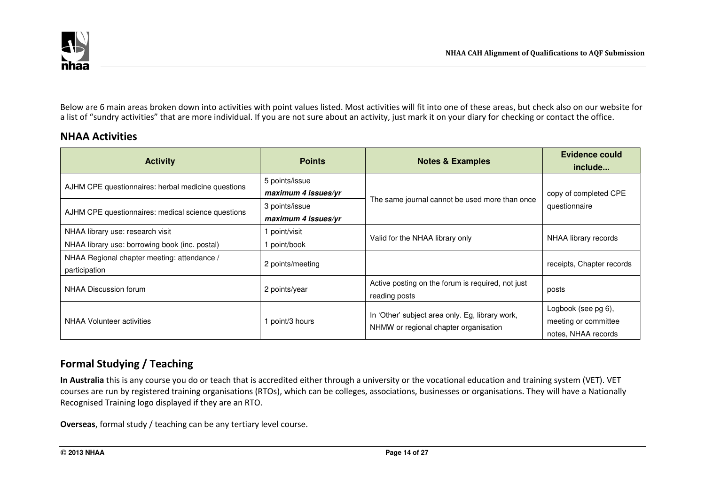

Below are 6 main areas broken down into activities with point values listed. Most activities will fit into one of these areas, but check also on our website for a list of "sundry activities" that are more individual. If you are not sure about an activity, just mark it on your diary for checking or contact the office.

## **NHAA Activities**

| <b>Activity</b>                                                                        | <b>Points</b>                                           | <b>Notes &amp; Examples</b>                                                              | Evidence could<br>include                                          |
|----------------------------------------------------------------------------------------|---------------------------------------------------------|------------------------------------------------------------------------------------------|--------------------------------------------------------------------|
| AJHM CPE questionnaires: herbal medicine questions                                     | 5 points/issue<br>maximum 4 issues/yr<br>3 points/issue | The same journal cannot be used more than once                                           | copy of completed CPE<br>questionnaire                             |
| AJHM CPE questionnaires: medical science questions<br>NHAA library use: research visit | maximum 4 issues/yr<br>point/visit                      |                                                                                          |                                                                    |
| NHAA library use: borrowing book (inc. postal)                                         | point/book                                              | Valid for the NHAA library only                                                          | NHAA library records                                               |
| NHAA Regional chapter meeting: attendance /<br>participation                           | 2 points/meeting                                        |                                                                                          | receipts, Chapter records                                          |
| NHAA Discussion forum                                                                  | 2 points/year                                           | Active posting on the forum is required, not just<br>reading posts                       | posts                                                              |
| NHAA Volunteer activities                                                              | point/3 hours                                           | In 'Other' subject area only. Eg, library work,<br>NHMW or regional chapter organisation | Logbook (see pg 6),<br>meeting or committee<br>notes, NHAA records |

# **Formal Studying / Teaching**

**In Australia** this is any course you do or teach that is accredited either through a university or the vocational education and training system (VET). VET courses are run by registered training organisations (RTOs), which can be colleges, associations, businesses or organisations. They will have a Nationally Recognised Training logo displayed if they are an RTO.

**Overseas**, formal study / teaching can be any tertiary level course.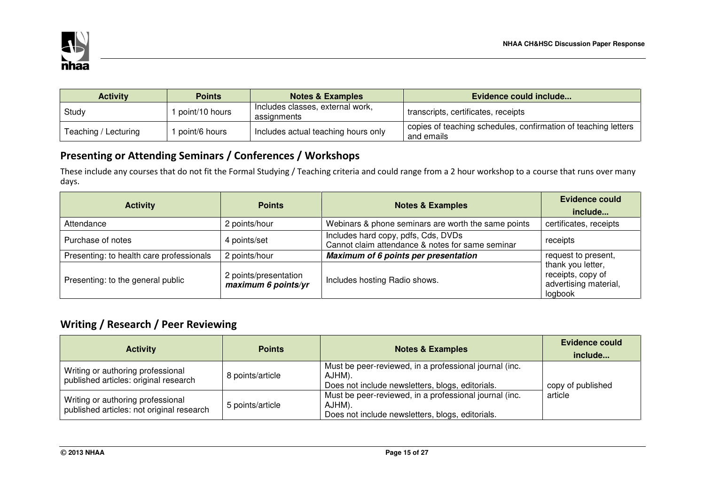

| <b>Activity</b>      | <b>Points</b>  | <b>Notes &amp; Examples</b>                     | Evidence could include                                                       |
|----------------------|----------------|-------------------------------------------------|------------------------------------------------------------------------------|
| Study                | point/10 hours | Includes classes, external work,<br>assignments | transcripts, certificates, receipts                                          |
| Teaching / Lecturing | point/6 hours  | Includes actual teaching hours only             | copies of teaching schedules, confirmation of teaching letters<br>and emails |

# **Presenting or Attending Seminars / Conferences / Workshops**

These include any courses that do not fit the Formal Studying / Teaching criteria and could range from a 2 hour workshop to a course that runs over many days.

| <b>Activity</b>                          | <b>Points</b>                                | <b>Notes &amp; Examples</b>                                                             | <b>Evidence could</b><br>include                                           |  |
|------------------------------------------|----------------------------------------------|-----------------------------------------------------------------------------------------|----------------------------------------------------------------------------|--|
| Attendance                               | 2 points/hour                                | Webinars & phone seminars are worth the same points                                     | certificates, receipts                                                     |  |
| Purchase of notes                        | 4 points/set                                 | Includes hard copy, pdfs, Cds, DVDs<br>Cannot claim attendance & notes for same seminar | receipts                                                                   |  |
| Presenting: to health care professionals | 2 points/hour                                | Maximum of 6 points per presentation                                                    | request to present,                                                        |  |
| Presenting: to the general public        | 2 points/presentation<br>maximum 6 points/yr | Includes hosting Radio shows.                                                           | thank you letter,<br>receipts, copy of<br>advertising material,<br>logbook |  |

# **Writing / Research / Peer Reviewing**

| <b>Activity</b>                                                                | <b>Points</b>    | <b>Notes &amp; Examples</b>                                                                                          | Evidence could<br>include |
|--------------------------------------------------------------------------------|------------------|----------------------------------------------------------------------------------------------------------------------|---------------------------|
| Writing or authoring professional<br>published articles: original research     | 8 points/article | Must be peer-reviewed, in a professional journal (inc.<br>AJHM).<br>Does not include newsletters, blogs, editorials. | copy of published         |
| Writing or authoring professional<br>published articles: not original research | 5 points/article | Must be peer-reviewed, in a professional journal (inc.<br>AJHM).<br>Does not include newsletters, blogs, editorials. | article                   |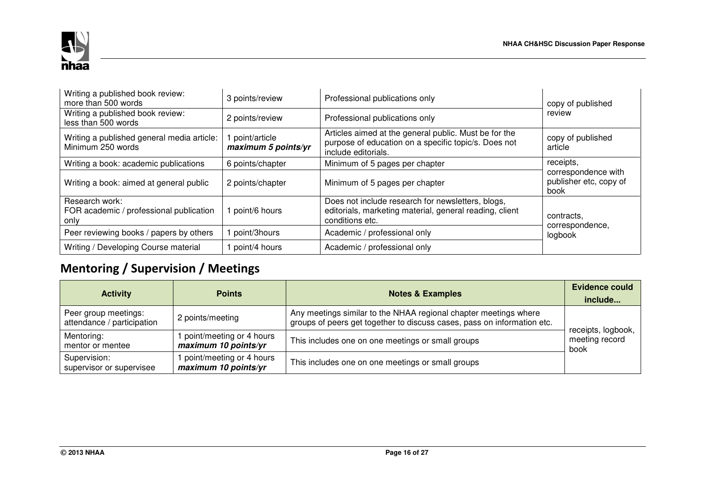

| Writing a published book review:<br>more than 500 words           | 3 points/review                      | Professional publications only                                                                                                       | copy of published                                     |
|-------------------------------------------------------------------|--------------------------------------|--------------------------------------------------------------------------------------------------------------------------------------|-------------------------------------------------------|
| Writing a published book review:<br>less than 500 words           | 2 points/review                      | Professional publications only                                                                                                       | review                                                |
| Writing a published general media article:<br>Minimum 250 words   | point/article<br>maximum 5 points/yr | Articles aimed at the general public. Must be for the<br>purpose of education on a specific topic/s. Does not<br>include editorials. | copy of published<br>article                          |
| Writing a book: academic publications                             | 6 points/chapter                     | Minimum of 5 pages per chapter                                                                                                       | receipts,                                             |
| Writing a book: aimed at general public                           | 2 points/chapter                     | Minimum of 5 pages per chapter                                                                                                       | correspondence with<br>publisher etc, copy of<br>book |
| Research work:<br>FOR academic / professional publication<br>only | point/6 hours                        | Does not include research for newsletters, blogs,<br>editorials, marketing material, general reading, client<br>conditions etc.      | contracts,<br>correspondence,                         |
| Peer reviewing books / papers by others                           | point/3hours                         | Academic / professional only                                                                                                         | logbook                                               |
| Writing / Developing Course material                              | point/4 hours                        | Academic / professional only                                                                                                         |                                                       |

# **Mentoring / Supervision / Meetings**

| <b>Activity</b>                                    | <b>Points</b>                                    | <b>Notes &amp; Examples</b>                                                                                                                 | Evidence could<br>include                    |
|----------------------------------------------------|--------------------------------------------------|---------------------------------------------------------------------------------------------------------------------------------------------|----------------------------------------------|
| Peer group meetings:<br>attendance / participation | 2 points/meeting                                 | Any meetings similar to the NHAA regional chapter meetings where<br>groups of peers get together to discuss cases, pass on information etc. |                                              |
| Mentoring:<br>mentor or mentee                     | point/meeting or 4 hours<br>maximum 10 points/yr | This includes one on one meetings or small groups                                                                                           | receipts, logbook,<br>meeting record<br>book |
| Supervision:<br>supervisor or supervisee           | point/meeting or 4 hours<br>maximum 10 points/yr | This includes one on one meetings or small groups                                                                                           |                                              |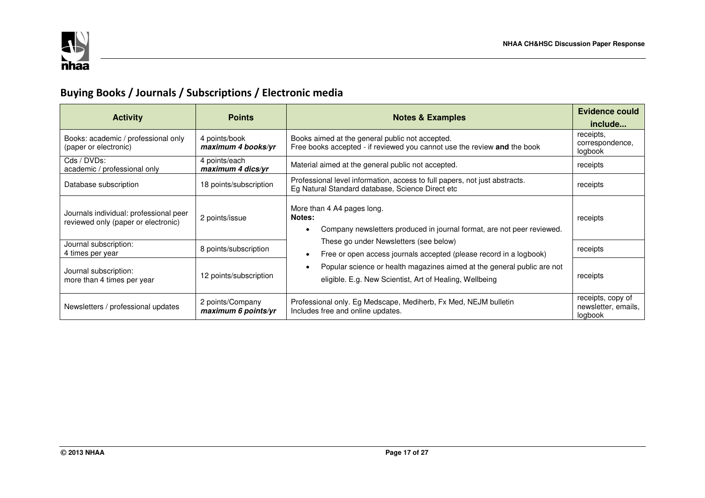

# **Buying Books / Journals / Subscriptions / Electronic media**

| <b>Activity</b>                                                               | <b>Points</b>                           | <b>Notes &amp; Examples</b>                                                                                                        | Evidence could<br>include                           |          |
|-------------------------------------------------------------------------------|-----------------------------------------|------------------------------------------------------------------------------------------------------------------------------------|-----------------------------------------------------|----------|
| Books: academic / professional only<br>(paper or electronic)                  | 4 points/book<br>maximum 4 books/yr     | Books aimed at the general public not accepted.<br>Free books accepted - if reviewed you cannot use the review and the book        | receipts,<br>correspondence,<br>logbook             |          |
| Cds / DVDs:<br>academic / professional only                                   | 4 points/each<br>maximum 4 dics/yr      | Material aimed at the general public not accepted.                                                                                 | receipts                                            |          |
| Database subscription                                                         | 18 points/subscription                  | Professional level information, access to full papers, not just abstracts.<br>Eg Natural Standard database, Science Direct etc     | receipts                                            |          |
| Journals individual: professional peer<br>reviewed only (paper or electronic) | 2 points/issue                          | More than 4 A4 pages long.<br>Notes:<br>Company newsletters produced in journal format, are not peer reviewed.                     |                                                     | receipts |
| Journal subscription:<br>4 times per year                                     | 8 points/subscription                   | These go under Newsletters (see below)<br>Free or open access journals accepted (please record in a logbook)                       | receipts                                            |          |
| Journal subscription:<br>more than 4 times per year                           | 12 points/subscription                  | Popular science or health magazines aimed at the general public are not<br>eligible. E.g. New Scientist, Art of Healing, Wellbeing | receipts                                            |          |
| Newsletters / professional updates                                            | 2 points/Company<br>maximum 6 points/yr | Professional only. Eg Medscape, Mediherb, Fx Med, NEJM bulletin<br>Includes free and online updates.                               | receipts, copy of<br>newsletter, emails,<br>logbook |          |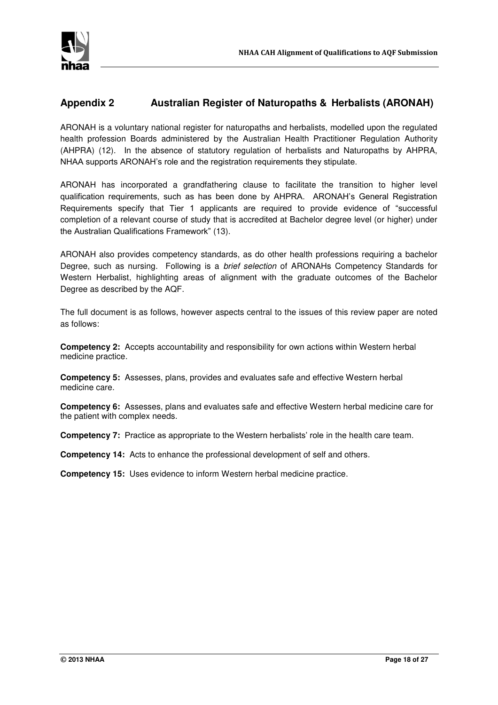

## **Appendix 2 Australian Register of Naturopaths & Herbalists (ARONAH)**

ARONAH is a voluntary national register for naturopaths and herbalists, modelled upon the regulated health profession Boards administered by the Australian Health Practitioner Regulation Authority (AHPRA) (12). In the absence of statutory regulation of herbalists and Naturopaths by AHPRA, NHAA supports ARONAH's role and the registration requirements they stipulate.

ARONAH has incorporated a grandfathering clause to facilitate the transition to higher level qualification requirements, such as has been done by AHPRA. ARONAH's General Registration Requirements specify that Tier 1 applicants are required to provide evidence of "successful completion of a relevant course of study that is accredited at Bachelor degree level (or higher) under the Australian Qualifications Framework" (13).

ARONAH also provides competency standards, as do other health professions requiring a bachelor Degree, such as nursing. Following is a *brief selection* of ARONAHs Competency Standards for Western Herbalist, highlighting areas of alignment with the graduate outcomes of the Bachelor Degree as described by the AQF.

The full document is as follows, however aspects central to the issues of this review paper are noted as follows:

**Competency 2:** Accepts accountability and responsibility for own actions within Western herbal medicine practice.

**Competency 5:** Assesses, plans, provides and evaluates safe and effective Western herbal medicine care.

**Competency 6:** Assesses, plans and evaluates safe and effective Western herbal medicine care for the patient with complex needs.

**Competency 7:** Practice as appropriate to the Western herbalists' role in the health care team.

**Competency 14:** Acts to enhance the professional development of self and others.

**Competency 15:** Uses evidence to inform Western herbal medicine practice.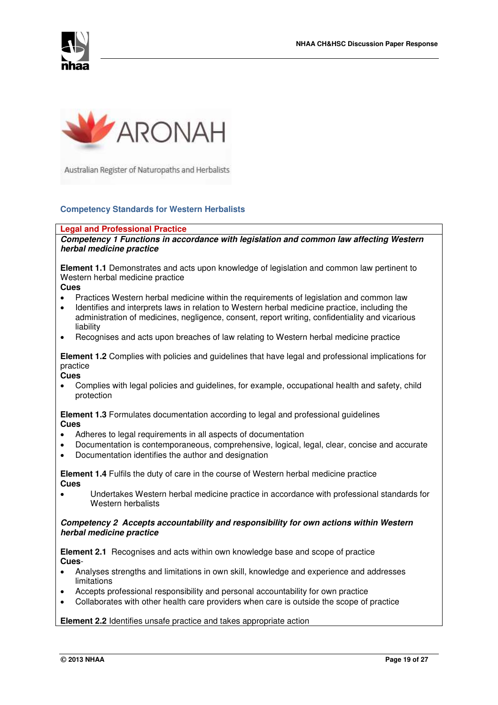



Australian Register of Naturopaths and Herbalists

### **Competency Standards for Western Herbalists**

#### **Legal and Professional Practice**

*Competency 1 Functions in accordance with legislation and common law affecting Western herbal medicine practice* 

**Element 1.1** Demonstrates and acts upon knowledge of legislation and common law pertinent to Western herbal medicine practice

**Cues** 

- Practices Western herbal medicine within the requirements of legislation and common law
- Identifies and interprets laws in relation to Western herbal medicine practice, including the administration of medicines, negligence, consent, report writing, confidentiality and vicarious liability
- Recognises and acts upon breaches of law relating to Western herbal medicine practice

**Element 1.2** Complies with policies and guidelines that have legal and professional implications for practice

**Cues** 

 Complies with legal policies and guidelines, for example, occupational health and safety, child protection

**Element 1.3** Formulates documentation according to legal and professional guidelines **Cues** 

- Adheres to legal requirements in all aspects of documentation
- Documentation is contemporaneous, comprehensive, logical, legal, clear, concise and accurate
- Documentation identifies the author and designation

**Element 1.4** Fulfils the duty of care in the course of Western herbal medicine practice **Cues** 

 Undertakes Western herbal medicine practice in accordance with professional standards for Western herbalists

### *Competency 2 Accepts accountability and responsibility for own actions within Western herbal medicine practice*

**Element 2.1** Recognises and acts within own knowledge base and scope of practice **Cues**-

- Analyses strengths and limitations in own skill, knowledge and experience and addresses limitations
- Accepts professional responsibility and personal accountability for own practice
- Collaborates with other health care providers when care is outside the scope of practice

**Element 2.2** Identifies unsafe practice and takes appropriate action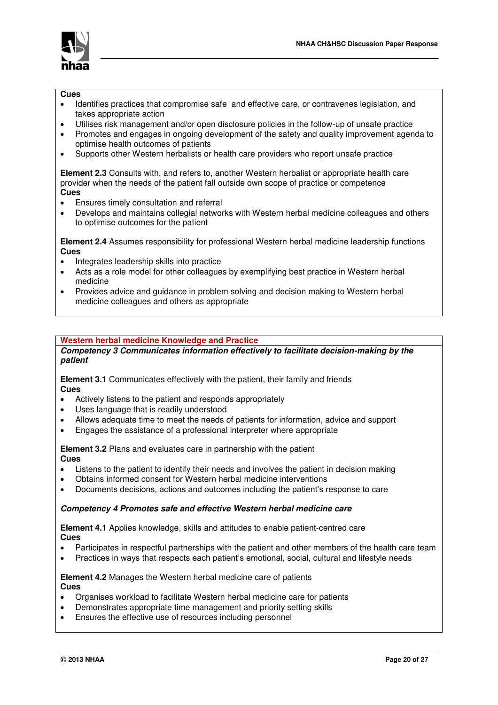



#### **Cues**

- Identifies practices that compromise safe and effective care, or contravenes legislation, and takes appropriate action
- Utilises risk management and/or open disclosure policies in the follow-up of unsafe practice
- Promotes and engages in ongoing development of the safety and quality improvement agenda to optimise health outcomes of patients
- Supports other Western herbalists or health care providers who report unsafe practice

**Element 2.3** Consults with, and refers to, another Western herbalist or appropriate health care provider when the needs of the patient fall outside own scope of practice or competence **Cues** 

- Ensures timely consultation and referral
- Develops and maintains collegial networks with Western herbal medicine colleagues and others to optimise outcomes for the patient

**Element 2.4** Assumes responsibility for professional Western herbal medicine leadership functions **Cues** 

- Integrates leadership skills into practice
- Acts as a role model for other colleagues by exemplifying best practice in Western herbal medicine
- Provides advice and guidance in problem solving and decision making to Western herbal medicine colleagues and others as appropriate

### **Western herbal medicine Knowledge and Practice**

*Competency 3 Communicates information effectively to facilitate decision-making by the patient* 

**Element 3.1** Communicates effectively with the patient, their family and friends **Cues** 

- Actively listens to the patient and responds appropriately
- Uses language that is readily understood
- Allows adequate time to meet the needs of patients for information, advice and support
- Engages the assistance of a professional interpreter where appropriate

**Element 3.2** Plans and evaluates care in partnership with the patient **Cues** 

- Listens to the patient to identify their needs and involves the patient in decision making
- Obtains informed consent for Western herbal medicine interventions
- Documents decisions, actions and outcomes including the patient's response to care

### *Competency 4 Promotes safe and effective Western herbal medicine care*

**Element 4.1** Applies knowledge, skills and attitudes to enable patient-centred care **Cues** 

- Participates in respectful partnerships with the patient and other members of the health care team
- Practices in ways that respects each patient's emotional, social, cultural and lifestyle needs

### **Element 4.2** Manages the Western herbal medicine care of patients **Cues**

- Organises workload to facilitate Western herbal medicine care for patients
- Demonstrates appropriate time management and priority setting skills
- Ensures the effective use of resources including personnel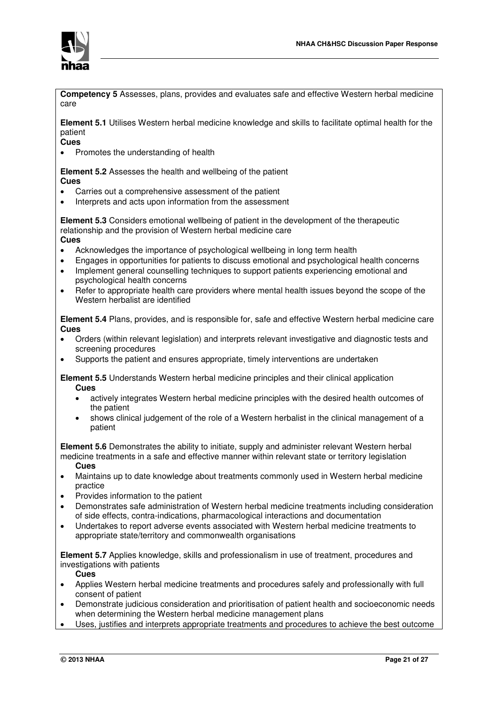

**Competency 5** Assesses, plans, provides and evaluates safe and effective Western herbal medicine care

**Element 5.1** Utilises Western herbal medicine knowledge and skills to facilitate optimal health for the patient

**Cues** 

• Promotes the understanding of health

**Element 5.2** Assesses the health and wellbeing of the patient **Cues** 

- Carries out a comprehensive assessment of the patient
- Interprets and acts upon information from the assessment

**Element 5.3** Considers emotional wellbeing of patient in the development of the therapeutic relationship and the provision of Western herbal medicine care

**Cues** 

- Acknowledges the importance of psychological wellbeing in long term health
- Engages in opportunities for patients to discuss emotional and psychological health concerns
- Implement general counselling techniques to support patients experiencing emotional and psychological health concerns
- Refer to appropriate health care providers where mental health issues beyond the scope of the Western herbalist are identified

**Element 5.4** Plans, provides, and is responsible for, safe and effective Western herbal medicine care **Cues** 

- Orders (within relevant legislation) and interprets relevant investigative and diagnostic tests and screening procedures
- Supports the patient and ensures appropriate, timely interventions are undertaken

**Element 5.5** Understands Western herbal medicine principles and their clinical application **Cues** 

- actively integrates Western herbal medicine principles with the desired health outcomes of the patient
- shows clinical judgement of the role of a Western herbalist in the clinical management of a patient

**Element 5.6** Demonstrates the ability to initiate, supply and administer relevant Western herbal medicine treatments in a safe and effective manner within relevant state or territory legislation

**Cues** 

- Maintains up to date knowledge about treatments commonly used in Western herbal medicine practice
- Provides information to the patient
- Demonstrates safe administration of Western herbal medicine treatments including consideration of side effects, contra-indications, pharmacological interactions and documentation
- Undertakes to report adverse events associated with Western herbal medicine treatments to appropriate state/territory and commonwealth organisations

**Element 5.7** Applies knowledge, skills and professionalism in use of treatment, procedures and investigations with patients

- **Cues**
- Applies Western herbal medicine treatments and procedures safely and professionally with full consent of patient
- Demonstrate judicious consideration and prioritisation of patient health and socioeconomic needs when determining the Western herbal medicine management plans
- Uses, justifies and interprets appropriate treatments and procedures to achieve the best outcome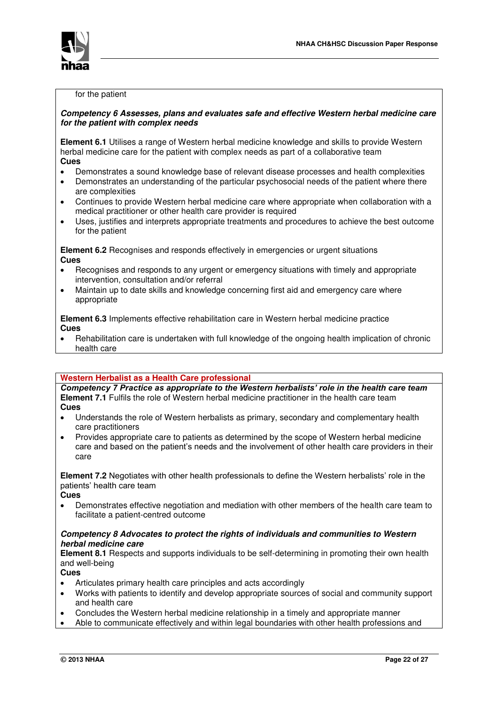

#### for the patient

### *Competency 6 Assesses, plans and evaluates safe and effective Western herbal medicine care for the patient with complex needs*

**Element 6.1** Utilises a range of Western herbal medicine knowledge and skills to provide Western herbal medicine care for the patient with complex needs as part of a collaborative team **Cues** 

- Demonstrates a sound knowledge base of relevant disease processes and health complexities
- Demonstrates an understanding of the particular psychosocial needs of the patient where there are complexities
- Continues to provide Western herbal medicine care where appropriate when collaboration with a medical practitioner or other health care provider is required
- Uses, justifies and interprets appropriate treatments and procedures to achieve the best outcome for the patient

**Element 6.2** Recognises and responds effectively in emergencies or urgent situations **Cues**

- Recognises and responds to any urgent or emergency situations with timely and appropriate intervention, consultation and/or referral
- Maintain up to date skills and knowledge concerning first aid and emergency care where appropriate

**Element 6.3** Implements effective rehabilitation care in Western herbal medicine practice **Cues** 

 Rehabilitation care is undertaken with full knowledge of the ongoing health implication of chronic health care

### **Western Herbalist as a Health Care professional**

*Competency 7 Practice as appropriate to the Western herbalists' role in the health care team* **Element 7.1** Fulfils the role of Western herbal medicine practitioner in the health care team **Cues** 

- Understands the role of Western herbalists as primary, secondary and complementary health care practitioners
- Provides appropriate care to patients as determined by the scope of Western herbal medicine care and based on the patient's needs and the involvement of other health care providers in their care

**Element 7.2** Negotiates with other health professionals to define the Western herbalists' role in the patients' health care team

**Cues** 

 Demonstrates effective negotiation and mediation with other members of the health care team to facilitate a patient-centred outcome

### *Competency 8 Advocates to protect the rights of individuals and communities to Western herbal medicine care*

**Element 8.1** Respects and supports individuals to be self-determining in promoting their own health and well-being

**Cues** 

- Articulates primary health care principles and acts accordingly
- Works with patients to identify and develop appropriate sources of social and community support and health care
- Concludes the Western herbal medicine relationship in a timely and appropriate manner
- Able to communicate effectively and within legal boundaries with other health professions and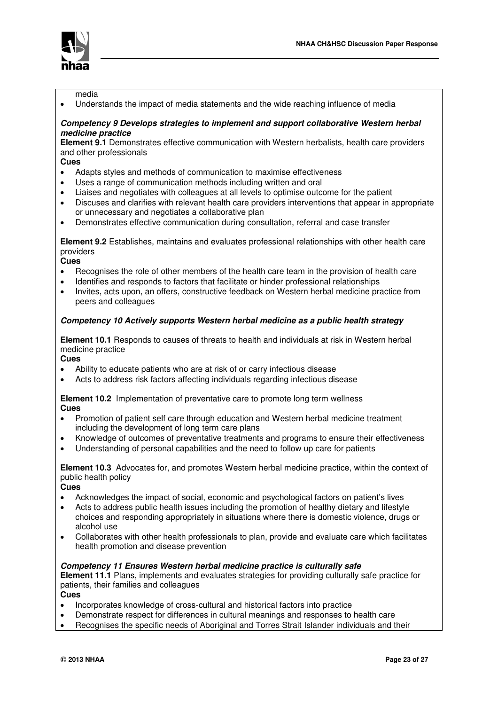

#### media

Understands the impact of media statements and the wide reaching influence of media

### *Competency 9 Develops strategies to implement and support collaborative Western herbal medicine practice*

**Element 9.1** Demonstrates effective communication with Western herbalists, health care providers and other professionals

**Cues** 

- Adapts styles and methods of communication to maximise effectiveness
- Uses a range of communication methods including written and oral
- Liaises and negotiates with colleagues at all levels to optimise outcome for the patient
- Discuses and clarifies with relevant health care providers interventions that appear in appropriate or unnecessary and negotiates a collaborative plan
- Demonstrates effective communication during consultation, referral and case transfer

**Element 9.2** Establishes, maintains and evaluates professional relationships with other health care providers

**Cues** 

- Recognises the role of other members of the health care team in the provision of health care
- Identifies and responds to factors that facilitate or hinder professional relationships
- Invites, acts upon, an offers, constructive feedback on Western herbal medicine practice from peers and colleagues

### *Competency 10 Actively supports Western herbal medicine as a public health strategy*

**Element 10.1** Responds to causes of threats to health and individuals at risk in Western herbal medicine practice

**Cues** 

- Ability to educate patients who are at risk of or carry infectious disease
- Acts to address risk factors affecting individuals regarding infectious disease

**Element 10.2** Implementation of preventative care to promote long term wellness **Cues** 

- Promotion of patient self care through education and Western herbal medicine treatment including the development of long term care plans
- Knowledge of outcomes of preventative treatments and programs to ensure their effectiveness
- Understanding of personal capabilities and the need to follow up care for patients

**Element 10.3** Advocates for, and promotes Western herbal medicine practice, within the context of public health policy

**Cues** 

- Acknowledges the impact of social, economic and psychological factors on patient's lives
- Acts to address public health issues including the promotion of healthy dietary and lifestyle choices and responding appropriately in situations where there is domestic violence, drugs or alcohol use
- Collaborates with other health professionals to plan, provide and evaluate care which facilitates health promotion and disease prevention

### *Competency 11 Ensures Western herbal medicine practice is culturally safe*

**Element 11.1** Plans, implements and evaluates strategies for providing culturally safe practice for patients, their families and colleagues

**Cues** 

- Incorporates knowledge of cross-cultural and historical factors into practice
- Demonstrate respect for differences in cultural meanings and responses to health care
- Recognises the specific needs of Aboriginal and Torres Strait Islander individuals and their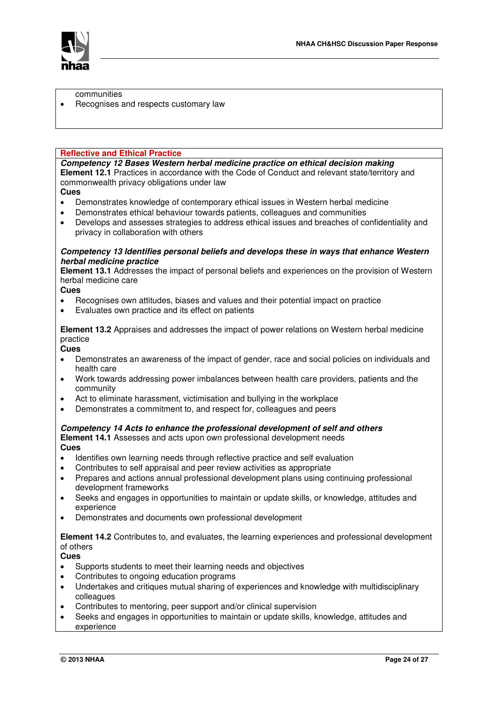

communities

Recognises and respects customary law

#### **Reflective and Ethical Practice**

*Competency 12 Bases Western herbal medicine practice on ethical decision making*  **Element 12.1** Practices in accordance with the Code of Conduct and relevant state/territory and commonwealth privacy obligations under law

### **Cues**

- Demonstrates knowledge of contemporary ethical issues in Western herbal medicine
- Demonstrates ethical behaviour towards patients, colleagues and communities
- Develops and assesses strategies to address ethical issues and breaches of confidentiality and privacy in collaboration with others

### *Competency 13 Identifies personal beliefs and develops these in ways that enhance Western herbal medicine practice*

**Element 13.1** Addresses the impact of personal beliefs and experiences on the provision of Western herbal medicine care

### **Cues**

- Recognises own attitudes, biases and values and their potential impact on practice
- Evaluates own practice and its effect on patients

**Element 13.2** Appraises and addresses the impact of power relations on Western herbal medicine practice

### **Cues**

- Demonstrates an awareness of the impact of gender, race and social policies on individuals and health care
- Work towards addressing power imbalances between health care providers, patients and the community
- Act to eliminate harassment, victimisation and bullying in the workplace
- Demonstrates a commitment to, and respect for, colleagues and peers

### *Competency 14 Acts to enhance the professional development of self and others*

### **Element 14.1** Assesses and acts upon own professional development needs

**Cues** 

- Identifies own learning needs through reflective practice and self evaluation
- Contributes to self appraisal and peer review activities as appropriate
- Prepares and actions annual professional development plans using continuing professional development frameworks
- Seeks and engages in opportunities to maintain or update skills, or knowledge, attitudes and experience
- Demonstrates and documents own professional development

### **Element 14.2** Contributes to, and evaluates, the learning experiences and professional development of others

**Cues** 

- Supports students to meet their learning needs and objectives
- Contributes to ongoing education programs
- Undertakes and critiques mutual sharing of experiences and knowledge with multidisciplinary colleagues
- Contributes to mentoring, peer support and/or clinical supervision
- Seeks and engages in opportunities to maintain or update skills, knowledge, attitudes and experience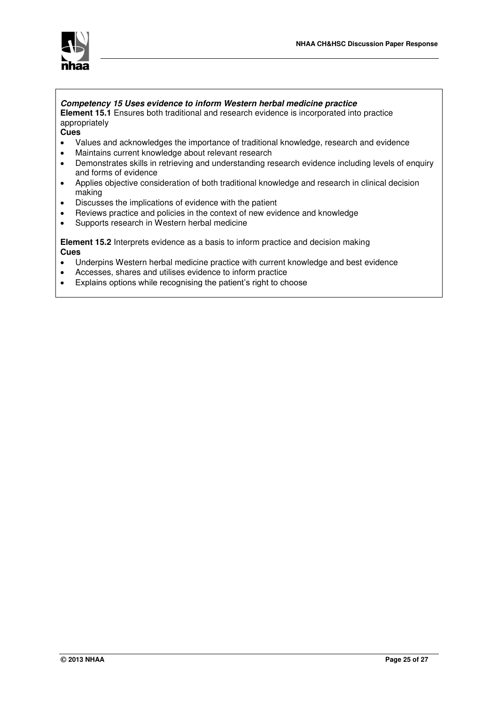

### *Competency 15 Uses evidence to inform Western herbal medicine practice*

**Element 15.1** Ensures both traditional and research evidence is incorporated into practice appropriately

**Cues** 

- Values and acknowledges the importance of traditional knowledge, research and evidence
- Maintains current knowledge about relevant research
- Demonstrates skills in retrieving and understanding research evidence including levels of enquiry and forms of evidence
- Applies objective consideration of both traditional knowledge and research in clinical decision making
- Discusses the implications of evidence with the patient
- Reviews practice and policies in the context of new evidence and knowledge
- Supports research in Western herbal medicine

**Element 15.2** Interprets evidence as a basis to inform practice and decision making **Cues** 

- Underpins Western herbal medicine practice with current knowledge and best evidence
- Accesses, shares and utilises evidence to inform practice
- Explains options while recognising the patient's right to choose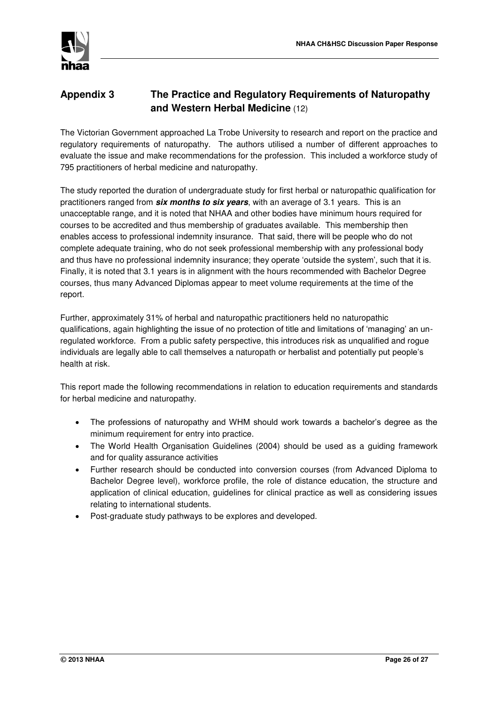

## **Appendix 3 The Practice and Regulatory Requirements of Naturopathy and Western Herbal Medicine** (12)

The Victorian Government approached La Trobe University to research and report on the practice and regulatory requirements of naturopathy. The authors utilised a number of different approaches to evaluate the issue and make recommendations for the profession. This included a workforce study of 795 practitioners of herbal medicine and naturopathy.

The study reported the duration of undergraduate study for first herbal or naturopathic qualification for practitioners ranged from *six months to six years*, with an average of 3.1 years. This is an unacceptable range, and it is noted that NHAA and other bodies have minimum hours required for courses to be accredited and thus membership of graduates available. This membership then enables access to professional indemnity insurance. That said, there will be people who do not complete adequate training, who do not seek professional membership with any professional body and thus have no professional indemnity insurance; they operate 'outside the system', such that it is. Finally, it is noted that 3.1 years is in alignment with the hours recommended with Bachelor Degree courses, thus many Advanced Diplomas appear to meet volume requirements at the time of the report.

Further, approximately 31% of herbal and naturopathic practitioners held no naturopathic qualifications, again highlighting the issue of no protection of title and limitations of 'managing' an unregulated workforce. From a public safety perspective, this introduces risk as unqualified and rogue individuals are legally able to call themselves a naturopath or herbalist and potentially put people's health at risk.

This report made the following recommendations in relation to education requirements and standards for herbal medicine and naturopathy.

- The professions of naturopathy and WHM should work towards a bachelor's degree as the minimum requirement for entry into practice.
- The World Health Organisation Guidelines (2004) should be used as a guiding framework and for quality assurance activities
- Further research should be conducted into conversion courses (from Advanced Diploma to Bachelor Degree level), workforce profile, the role of distance education, the structure and application of clinical education, guidelines for clinical practice as well as considering issues relating to international students.
- Post-graduate study pathways to be explores and developed.